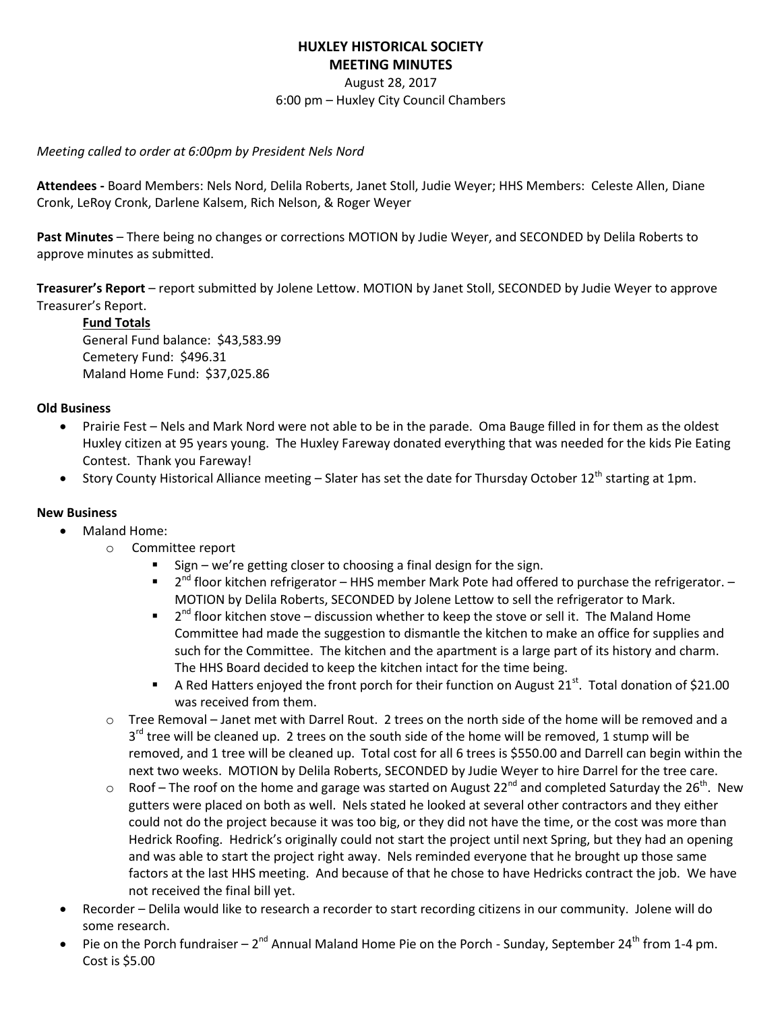# **HUXLEY HISTORICAL SOCIETY MEETING MINUTES**

August 28, 2017

6:00 pm – Huxley City Council Chambers

### *Meeting called to order at 6:00pm by President Nels Nord*

**Attendees -** Board Members: Nels Nord, Delila Roberts, Janet Stoll, Judie Weyer; HHS Members: Celeste Allen, Diane Cronk, LeRoy Cronk, Darlene Kalsem, Rich Nelson, & Roger Weyer

**Past Minutes** – There being no changes or corrections MOTION by Judie Weyer, and SECONDED by Delila Roberts to approve minutes as submitted.

**Treasurer's Report** – report submitted by Jolene Lettow. MOTION by Janet Stoll, SECONDED by Judie Weyer to approve Treasurer's Report.

## **Fund Totals**

General Fund balance: \$43,583.99 Cemetery Fund: \$496.31 Maland Home Fund: \$37,025.86

### **Old Business**

- Prairie Fest Nels and Mark Nord were not able to be in the parade. Oma Bauge filled in for them as the oldest Huxley citizen at 95 years young. The Huxley Fareway donated everything that was needed for the kids Pie Eating Contest. Thank you Fareway!
- Story County Historical Alliance meeting Slater has set the date for Thursday October 12<sup>th</sup> starting at 1pm.

### **New Business**

- Maland Home:
	- o Committee report
		- Sign we're getting closer to choosing a final design for the sign.
		- $\blacksquare$  2<sup>nd</sup> floor kitchen refrigerator HHS member Mark Pote had offered to purchase the refrigerator. MOTION by Delila Roberts, SECONDED by Jolene Lettow to sell the refrigerator to Mark.
		- $\blacksquare$  2<sup>nd</sup> floor kitchen stove discussion whether to keep the stove or sell it. The Maland Home Committee had made the suggestion to dismantle the kitchen to make an office for supplies and such for the Committee. The kitchen and the apartment is a large part of its history and charm. The HHS Board decided to keep the kitchen intact for the time being.
		- A Red Hatters enjoyed the front porch for their function on August 21 $^{st}$ . Total donation of \$21.00 was received from them.
	- o Tree Removal Janet met with Darrel Rout. 2 trees on the north side of the home will be removed and a 3<sup>rd</sup> tree will be cleaned up. 2 trees on the south side of the home will be removed, 1 stump will be removed, and 1 tree will be cleaned up. Total cost for all 6 trees is \$550.00 and Darrell can begin within the next two weeks. MOTION by Delila Roberts, SECONDED by Judie Weyer to hire Darrel for the tree care.
	- $\circ$  Roof The roof on the home and garage was started on August 22<sup>nd</sup> and completed Saturday the 26<sup>th</sup>. New gutters were placed on both as well. Nels stated he looked at several other contractors and they either could not do the project because it was too big, or they did not have the time, or the cost was more than Hedrick Roofing. Hedrick's originally could not start the project until next Spring, but they had an opening and was able to start the project right away. Nels reminded everyone that he brought up those same factors at the last HHS meeting. And because of that he chose to have Hedricks contract the job. We have not received the final bill yet.
- Recorder Delila would like to research a recorder to start recording citizens in our community. Jolene will do some research.
- Pie on the Porch fundraiser  $2^{nd}$  Annual Maland Home Pie on the Porch Sunday, September 24<sup>th</sup> from 1-4 pm. Cost is \$5.00